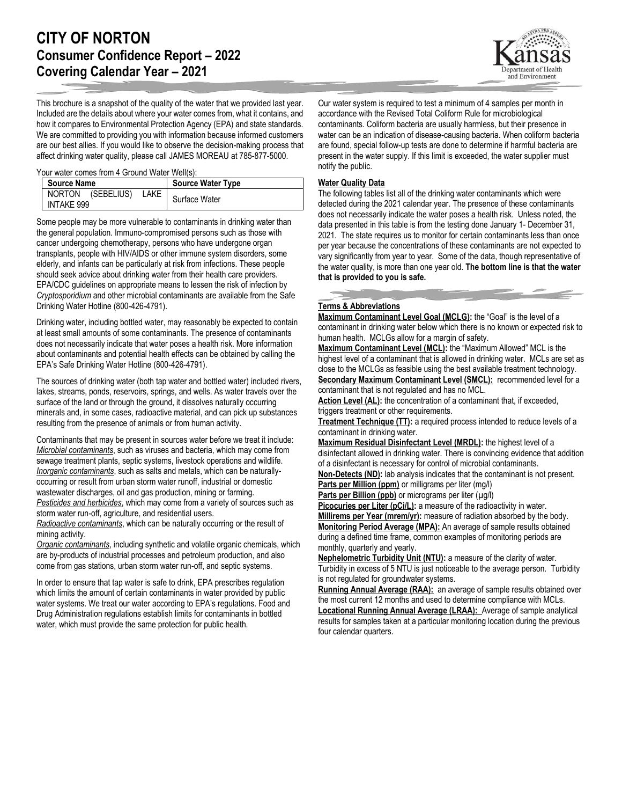## **CITY OF NORTON Consumer Confidence Report – 2022 Covering Calendar Year – 2021**

This brochure is a snapshot of the quality of the water that we provided last year. Included are the details about where your water comes from, what it contains, and how it compares to Environmental Protection Agency (EPA) and state standards. We are committed to providing you with information because informed customers are our best allies. If you would like to observe the decision-making process that affect drinking water quality, please call JAMES MOREAU at 785-877-5000.

Your water comes from 4 Ground Water Well(s):

| <b>Source Name</b> |                   |      | <b>Source Water Type</b> |
|--------------------|-------------------|------|--------------------------|
|                    | NORTON (SEBELIUS) | LAKE | Surface Water            |
| INTAKE 999         |                   |      |                          |

Some people may be more vulnerable to contaminants in drinking water than the general population. Immuno-compromised persons such as those with cancer undergoing chemotherapy, persons who have undergone organ transplants, people with HIV/AIDS or other immune system disorders, some elderly, and infants can be particularly at risk from infections. These people should seek advice about drinking water from their health care providers. EPA/CDC guidelines on appropriate means to lessen the risk of infection by *Cryptosporidium* and other microbial contaminants are available from the Safe Drinking Water Hotline (800-426-4791).

Drinking water, including bottled water, may reasonably be expected to contain at least small amounts of some contaminants. The presence of contaminants does not necessarily indicate that water poses a health risk. More information about contaminants and potential health effects can be obtained by calling the EPA's Safe Drinking Water Hotline (800-426-4791).

The sources of drinking water (both tap water and bottled water) included rivers, lakes, streams, ponds, reservoirs, springs, and wells. As water travels over the surface of the land or through the ground, it dissolves naturally occurring minerals and, in some cases, radioactive material, and can pick up substances resulting from the presence of animals or from human activity.

Contaminants that may be present in sources water before we treat it include: *Microbial contaminants*, such as viruses and bacteria, which may come from sewage treatment plants, septic systems, livestock operations and wildlife. *Inorganic contaminants*, such as salts and metals, which can be naturallyoccurring or result from urban storm water runoff, industrial or domestic wastewater discharges, oil and gas production, mining or farming. *Pesticides and herbicides*, which may come from a variety of sources such as storm water run-off, agriculture, and residential users.

*Radioactive contaminants*, which can be naturally occurring or the result of mining activity.

*Organic contaminants*, including synthetic and volatile organic chemicals, which are by-products of industrial processes and petroleum production, and also come from gas stations, urban storm water run-off, and septic systems.

In order to ensure that tap water is safe to drink, EPA prescribes regulation which limits the amount of certain contaminants in water provided by public water systems. We treat our water according to EPA's regulations. Food and Drug Administration regulations establish limits for contaminants in bottled water, which must provide the same protection for public health.

Our water system is required to test a minimum of 4 samples per month in accordance with the Revised Total Coliform Rule for microbiological contaminants. Coliform bacteria are usually harmless, but their presence in water can be an indication of disease-causing bacteria. When coliform bacteria are found, special follow-up tests are done to determine if harmful bacteria are present in the water supply. If this limit is exceeded, the water supplier must notify the public.

## **Water Quality Data**

The following tables list all of the drinking water contaminants which were detected during the 2021 calendar year. The presence of these contaminants does not necessarily indicate the water poses a health risk. Unless noted, the data presented in this table is from the testing done January 1- December 31, 2021. The state requires us to monitor for certain contaminants less than once per year because the concentrations of these contaminants are not expected to vary significantly from year to year. Some of the data, though representative of the water quality, is more than one year old. **The bottom line is that the water that is provided to you is safe.**

## **Terms & Abbreviations**

**Maximum Contaminant Level Goal (MCLG):** the "Goal" is the level of a contaminant in drinking water below which there is no known or expected risk to human health. MCLGs allow for a margin of safety.

**Maximum Contaminant Level (MCL):** the "Maximum Allowed" MCL is the highest level of a contaminant that is allowed in drinking water. MCLs are set as close to the MCLGs as feasible using the best available treatment technology. **Secondary Maximum Contaminant Level (SMCL):** recommended level for a contaminant that is not regulated and has no MCL.

Action Level (AL): the concentration of a contaminant that, if exceeded, triggers treatment or other requirements.

**Treatment Technique (TT):** a required process intended to reduce levels of a contaminant in drinking water.

**Maximum Residual Disinfectant Level (MRDL):** the highest level of a disinfectant allowed in drinking water. There is convincing evidence that addition of a disinfectant is necessary for control of microbial contaminants.

**Non-Detects (ND):** lab analysis indicates that the contaminant is not present. **Parts per Million (ppm)** or milligrams per liter (mg/l)

**Parts per Billion (ppb)** or micrograms per liter (µg/l)

**Picocuries per Liter (pCi/L):** a measure of the radioactivity in water.

**Millirems per Year (mrem/yr):** measure of radiation absorbed by the body. **Monitoring Period Average (MPA):** An average of sample results obtained during a defined time frame, common examples of monitoring periods are monthly, quarterly and yearly.

**Nephelometric Turbidity Unit (NTU):** a measure of the clarity of water. Turbidity in excess of 5 NTU is just noticeable to the average person. Turbidity is not regulated for groundwater systems.

**Running Annual Average (RAA):** an average of sample results obtained over the most current 12 months and used to determine compliance with MCLs. **Locational Running Annual Average (LRAA):** Average of sample analytical results for samples taken at a particular monitoring location during the previous four calendar quarters.

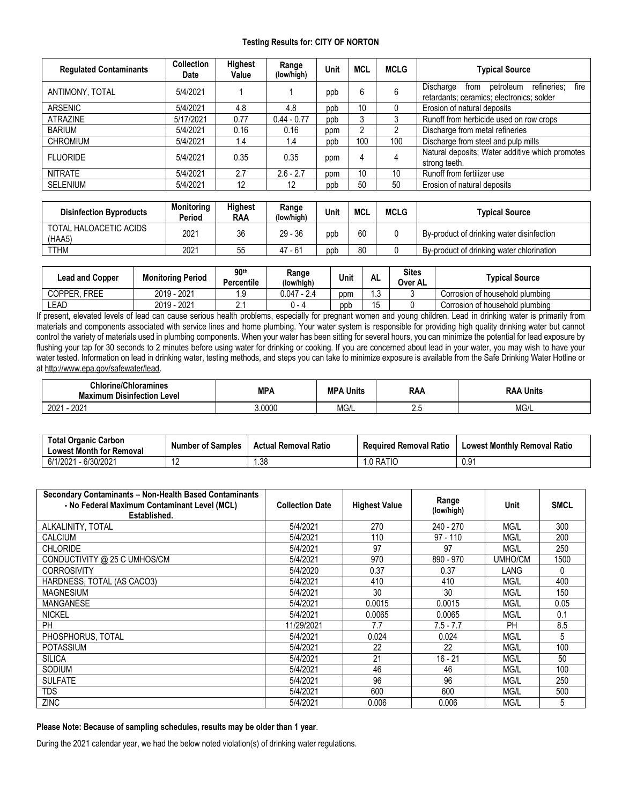## **Testing Results for: CITY OF NORTON**

| <b>Regulated Contaminants</b> | <b>Collection</b><br>Date | Highest<br>Value | Range<br>(low/high) | Unit | MCL | <b>MCLG</b> | <b>Typical Source</b>                                                                              |  |
|-------------------------------|---------------------------|------------------|---------------------|------|-----|-------------|----------------------------------------------------------------------------------------------------|--|
| ANTIMONY, TOTAL               | 5/4/2021                  |                  |                     | ppb  | 6   | 6           | refineries:<br>Discharge<br>petroleum<br>fire<br>from<br>retardants; ceramics; electronics; solder |  |
| <b>ARSENIC</b>                | 5/4/2021                  | 4.8              | 4.8                 | ppb  | 10  | 0           | Erosion of natural deposits                                                                        |  |
| <b>ATRAZINE</b>               | 5/17/2021                 | 0.77             | $0.44 - 0.77$       | ppb  | 3   | 3           | Runoff from herbicide used on row crops                                                            |  |
| <b>BARIUM</b>                 | 5/4/2021                  | 0.16             | 0.16                | ppm  | ∩   | 2           | Discharge from metal refineries                                                                    |  |
| <b>CHROMIUM</b>               | 5/4/2021                  | 1.4              | 1.4                 | ppb  | 100 | 100         | Discharge from steel and pulp mills                                                                |  |
| <b>FLUORIDE</b>               | 5/4/2021                  | 0.35             | 0.35                | ppm  | 4   | 4           | Natural deposits; Water additive which promotes<br>strong teeth.                                   |  |
| <b>NITRATE</b>                | 5/4/2021                  | 2.7              | $2.6 - 2.7$         | ppm  | 10  | 10          | Runoff from fertilizer use                                                                         |  |
| <b>SELENIUM</b>               | 5/4/2021                  | 12               | 12                  | ppb  | 50  | 50          | Erosion of natural deposits                                                                        |  |

| <b>Disinfection Byproducts</b>   | <b>Monitoring</b><br>Period | Highest<br><b>RAA</b> | Range<br>(low/high) | Unit | MCL | <b>MCLG</b> | Tvpical Source                            |
|----------------------------------|-----------------------------|-----------------------|---------------------|------|-----|-------------|-------------------------------------------|
| TOTAL HALOACETIC ACIDS<br>(HAA5) | 2021                        | 36                    | $29 - 36$           | ppb  | 60  |             | By-product of drinking water disinfection |
| TTHM                             | 2021                        | 55                    | $-64$<br>47         | ppb  | 80  |             | By-product of drinking water chlorination |

| <b>Lead and Copper</b> | <b>Monitoring Period</b> | 90 <sup>th</sup><br><b>Percentile</b> | Range<br>(low/high) | Unit | AL | <b>Sites</b><br>Over AL | Tvpical Source                  |
|------------------------|--------------------------|---------------------------------------|---------------------|------|----|-------------------------|---------------------------------|
| . FREE<br>COPPER.      | 2019 - 2021              | q<br>. . ب                            | 0.047               | ppm  | ں. |                         | Corrosion of household plumbing |
| LEAD                   | 2019 - 2021              | <u>.</u>                              | ı - д               | ppb  |    |                         | Corrosion of household plumbing |

If present, elevated levels of lead can cause serious health problems, especially for pregnant women and young children. Lead in drinking water is primarily from materials and components associated with service lines and home plumbing. Your water system is responsible for providing high quality drinking water but cannot control the variety of materials used in plumbing components. When your water has been sitting for several hours, you can minimize the potential for lead exposure by flushing your tap for 30 seconds to 2 minutes before using water for drinking or cooking. If you are concerned about lead in your water, you may wish to have your water tested. Information on lead in drinking water, testing methods, and steps you can take to minimize exposure is available from the Safe Drinking Water Hotline or a[t http://www.epa.gov/safewater/lead.](http://www.epa.gov/safewater/lead)

| <b>Chlorine/Chloramines</b><br>Maximum<br>ו Disinfection Level | MPA    | <b>MPA</b><br>∖ Units | <b>RAA</b> | Units<br>RAA |
|----------------------------------------------------------------|--------|-----------------------|------------|--------------|
| 202'<br>nnn.<br>ZUZ                                            | 3.0000 | MG/L                  | $\sim$     | MG/L         |

| <b>Total Organic Carbon</b><br><b>Lowest Month for Removal</b> | <b>Number of Samples</b>     | <b>Actual Removal Ratio</b> | <b>Required Removal Ratio</b> | <b>Lowest Monthly Removal Ratio</b> |
|----------------------------------------------------------------|------------------------------|-----------------------------|-------------------------------|-------------------------------------|
| - 6/30/2021<br>6/1/2021                                        | $\overline{A}$<br>. <u>.</u> | . .38                       | .0 RATIO                      | 0.91                                |

| Secondary Contaminants - Non-Health Based Contaminants<br>- No Federal Maximum Contaminant Level (MCL)<br>Established. | <b>Collection Date</b> | <b>Highest Value</b> | Range<br>(low/high) | Unit      | <b>SMCL</b> |
|------------------------------------------------------------------------------------------------------------------------|------------------------|----------------------|---------------------|-----------|-------------|
| ALKALINITY, TOTAL                                                                                                      | 5/4/2021               | 270                  | 240 - 270           | MG/L      | 300         |
| <b>CALCIUM</b>                                                                                                         | 5/4/2021               | 110                  | 97 - 110            | MG/L      | 200         |
| <b>CHLORIDE</b>                                                                                                        | 5/4/2021               | 97                   | 97                  | MG/L      | 250         |
| CONDUCTIVITY @ 25 C UMHOS/CM                                                                                           | 5/4/2021               | 970                  | 890 - 970           | UMHO/CM   | 1500        |
| <b>CORROSIVITY</b>                                                                                                     | 5/4/2020               | 0.37                 | 0.37                | LANG      | 0           |
| HARDNESS, TOTAL (AS CACO3)                                                                                             | 5/4/2021               | 410                  | 410                 | MG/L      | 400         |
| <b>MAGNESIUM</b>                                                                                                       | 5/4/2021               | 30                   | 30                  | MG/L      | 150         |
| <b>MANGANESE</b>                                                                                                       | 5/4/2021               | 0.0015               | 0.0015              | MG/L      | 0.05        |
| <b>NICKEL</b>                                                                                                          | 5/4/2021               | 0.0065               | 0.0065              | MG/L      | 0.1         |
| PH                                                                                                                     | 11/29/2021             | 7.7                  | $7.5 - 7.7$         | <b>PH</b> | 8.5         |
| PHOSPHORUS, TOTAL                                                                                                      | 5/4/2021               | 0.024                | 0.024               | MG/L      | 5           |
| <b>POTASSIUM</b>                                                                                                       | 5/4/2021               | 22                   | 22                  | MG/L      | 100         |
| <b>SILICA</b>                                                                                                          | 5/4/2021               | 21                   | $16 - 21$           | MG/L      | 50          |
| <b>SODIUM</b>                                                                                                          | 5/4/2021               | 46                   | 46                  | MG/L      | 100         |
| <b>SULFATE</b>                                                                                                         | 5/4/2021               | 96                   | 96                  | MG/L      | 250         |
| TDS                                                                                                                    | 5/4/2021               | 600                  | 600                 | MG/L      | 500         |
| <b>ZINC</b>                                                                                                            | 5/4/2021               | 0.006                | 0.006               | MG/L      | 5           |

**Please Note: Because of sampling schedules, results may be older than 1 year**.

During the 2021 calendar year, we had the below noted violation(s) of drinking water regulations.